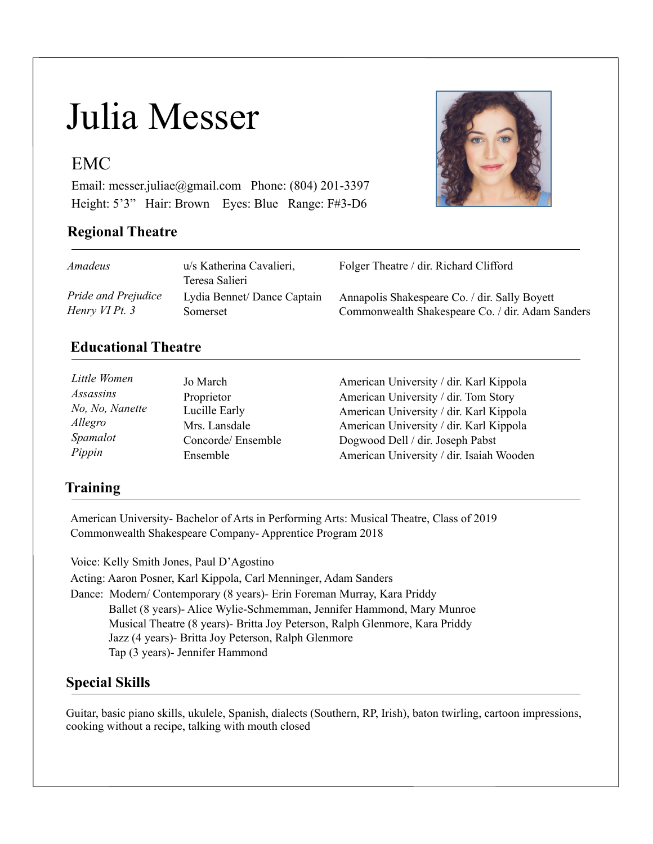# Julia Messer

### EMC

Email: [messer.juliae@gmail.com](mailto:messer.juliae@gmail.com) Phone: (804) 201-3397 Height: 5'3" Hair: Brown Eyes: Blue Range: F#3-D6

#### **Regional Theatre**



| Amadeus             | u/s Katherina Cavalieri,<br>Teresa Salieri | Folger Theatre / dir. Richard Clifford           |
|---------------------|--------------------------------------------|--------------------------------------------------|
| Pride and Prejudice | Lydia Bennet/Dance Captain                 | Annapolis Shakespeare Co. / dir. Sally Boyett    |
| Henry VI Pt. 3      | Somerset                                   | Commonwealth Shakespeare Co. / dir. Adam Sanders |

#### **Educational Theatre**

| Little Women    | Jo March          | American University / dir. Karl Kippola  |
|-----------------|-------------------|------------------------------------------|
| Assassins       | Proprietor        | American University / dir. Tom Story     |
| No, No, Nanette | Lucille Early     | American University / dir. Karl Kippola  |
| Allegro         | Mrs. Lansdale     | American University / dir. Karl Kippola  |
| Spamalot        | Concorde/Ensemble | Dogwood Dell / dir. Joseph Pabst         |
| Pippin          | Ensemble          | American University / dir. Isaiah Wooden |

#### **Training**

American University- Bachelor of Arts in Performing Arts: Musical Theatre, Class of 2019 Commonwealth Shakespeare Company- Apprentice Program 2018

Voice: Kelly Smith Jones, Paul D'Agostino Acting: Aaron Posner, Karl Kippola, Carl Menninger, Adam Sanders Dance: Modern/ Contemporary (8 years)- Erin Foreman Murray, Kara Priddy Ballet (8 years)- Alice Wylie-Schmemman, Jennifer Hammond, Mary Munroe Musical Theatre (8 years)- Britta Joy Peterson, Ralph Glenmore, Kara Priddy Jazz (4 years)- Britta Joy Peterson, Ralph Glenmore Tap (3 years)- Jennifer Hammond

#### **Special Skills**

Guitar, basic piano skills, ukulele, Spanish, dialects (Southern, RP, Irish), baton twirling, cartoon impressions, cooking without a recipe, talking with mouth closed